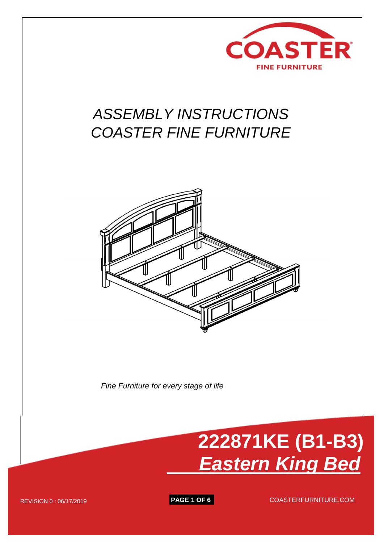

## *ASSEMBLY INSTRUCTIONS COASTER FINE FURNITURE*



*Fine Furniture for every stage of life*



REVISION 0 : 06/17/2019 **PAGE 1 OF 6** COASTERFURNITURE.COM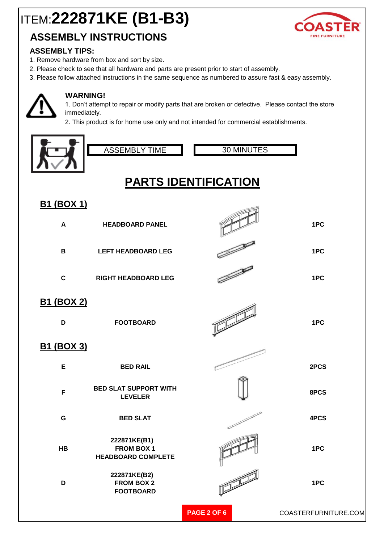## **ASSEMBLY INSTRUCTIONS**

#### **ASSEMBLY TIPS:**

- 1. Remove hardware from box and sort by size.
- 2. Please check to see that all hardware and parts are present prior to start of assembly.
- 3. Please follow attached instructions in the same sequence as numbered to assure fast & easy assembly.



#### **WARNING!**

1. Don't attempt to repair or modify parts that are broken or defective. Please contact the store immediately.

2. This product is for home use only and not intended for commercial establishments.





30 MINUTES

## **PARTS IDENTIFICATION**

### **B1 (BOX 1)**

| $\blacktriangle$       | <b>HEADBOARD PANEL</b>                                         |                    | 1PC                  |
|------------------------|----------------------------------------------------------------|--------------------|----------------------|
| $\mathbf B$            | <b>LEFT HEADBOARD LEG</b>                                      |                    | 1PC                  |
| $\mathbf C$            | <b>RIGHT HEADBOARD LEG</b>                                     |                    | 1PC                  |
| <b>B1 (BOX 2)</b><br>D | <b>FOOTBOARD</b>                                               |                    | 1PC                  |
| <u>B1 (BOX 3)</u>      |                                                                |                    |                      |
| E                      | <b>BED RAIL</b>                                                |                    | 2PCS                 |
| F                      | <b>BED SLAT SUPPORT WITH</b><br><b>LEVELER</b>                 |                    | 8PCS                 |
| G                      | <b>BED SLAT</b>                                                |                    | 4PCS                 |
| HB                     | 222871KE(B1)<br><b>FROM BOX 1</b><br><b>HEADBOARD COMPLETE</b> |                    | 1PC                  |
| D                      | 222871KE(B2)<br><b>FROM BOX 2</b><br><b>FOOTBOARD</b>          |                    | 1PC                  |
|                        |                                                                | <b>PAGE 2 OF 6</b> | COASTERFURNITURE.COM |

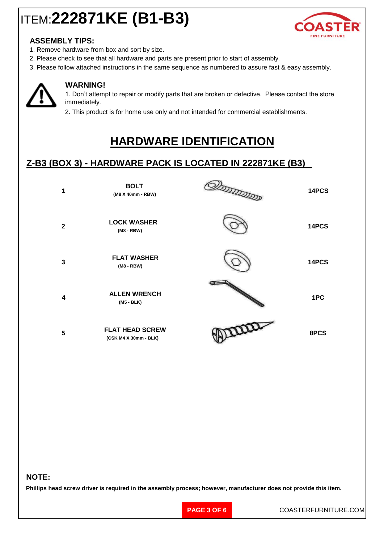

#### **ASSEMBLY TIPS:**

- 1. Remove hardware from box and sort by size.
- 2. Please check to see that all hardware and parts are present prior to start of assembly.
- 3. Please follow attached instructions in the same sequence as numbered to assure fast & easy assembly.



#### **WARNING!**

1. Don't attempt to repair or modify parts that are broken or defective. Please contact the store immediately.

2. This product is for home use only and not intended for commercial establishments.

## **HARDWARE IDENTIFICATION**

### **Z-B3 (BOX 3) - HARDWARE PACK IS LOCATED IN 222871KE (B3)**

| 1                       | <b>BOLT</b><br>(M8 X 40mm - RBW)                | ענגענגענגעל | 14PCS |
|-------------------------|-------------------------------------------------|-------------|-------|
| $\mathbf{2}$            | <b>LOCK WASHER</b><br>$(M8 - RBW)$              |             | 14PCS |
| 3                       | <b>FLAT WASHER</b><br>$(M8 - RBW)$              |             | 14PCS |
| $\overline{\mathbf{4}}$ | <b>ALLEN WRENCH</b><br>$(M5 - BLK)$             |             | 1PC   |
| 5                       | <b>FLAT HEAD SCREW</b><br>(CSK M4 X 30mm - BLK) | proce       | 8PCS  |

#### **NOTE:**

**Phillips head screw driver is required in the assembly process; however, manufacturer does not provide this item.**

**PAGE 3 OF 6**

COASTERFURNITURE.COM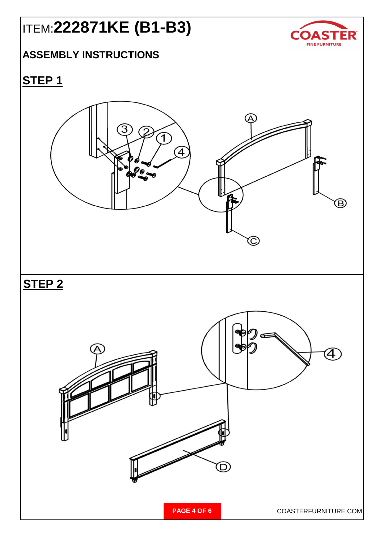

### **ASSEMBLY INSTRUCTIONS**

## **STEP 1**

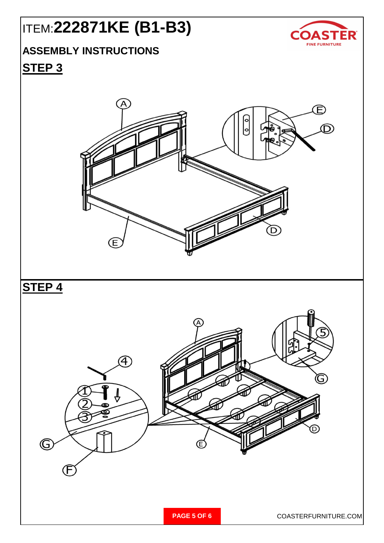

## **ASSEMBLY INSTRUCTIONS**

### **STEP 3**

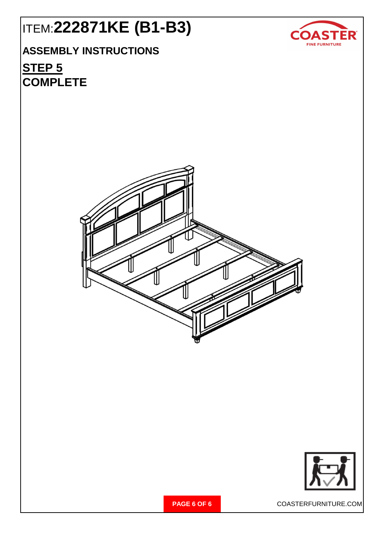

## **ASSEMBLY INSTRUCTIONS**

## **STEP 5 COMPLETE**